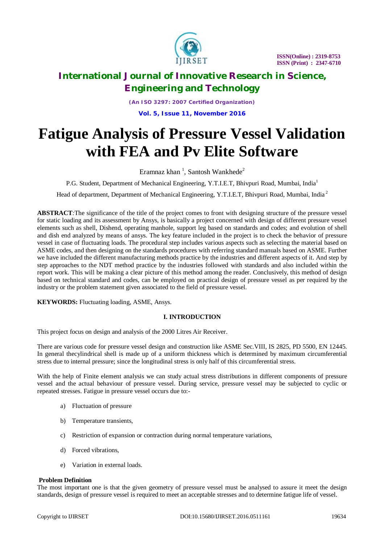

*(An ISO 3297: 2007 Certified Organization)* **Vol. 5, Issue 11, November 2016**

# **Fatigue Analysis of Pressure Vessel Validation with FEA and Pv Elite Software**

Eramnaz khan  $\frac{1}{2}$ , Santosh Wankhede<sup>2</sup>

P.G. Student, Department of Mechanical Engineering, Y.T.I.E.T, Bhivpuri Road, Mumbai, India<sup>1</sup>

Head of department, Department of Mechanical Engineering, Y.T.I.E.T, Bhivpuri Road, Mumbai, India <sup>2</sup>

**ABSTRACT***:*The significance of the title of the project comes to front with designing structure of the pressure vessel for static loading and its assessment by Ansys, is basically a project concerned with design of different pressure vessel elements such as shell, Dishend, operating manhole, support leg based on standards and codes; and evolution of shell and dish end analyzed by means of ansys. The key feature included in the project is to check the behavior of pressure vessel in case of fluctuating loads. The procedural step includes various aspects such as selecting the material based on ASME codes, and then designing on the standards procedures with referring standard manuals based on ASME. Further we have included the different manufacturing methods practice by the industries and different aspects of it. And step by step approaches to the NDT method practice by the industries followed with standards and also included within the report work. This will be making a clear picture of this method among the reader. Conclusively, this method of design based on technical standard and codes, can be employed on practical design of pressure vessel as per required by the industry or the problem statement given associated to the field of pressure vessel.

**KEYWORDS:** Fluctuating loading, ASME, Ansys.

### **I. INTRODUCTION**

This project focus on design and analysis of the 2000 Litres Air Receiver.

There are various code for pressure vessel design and construction like ASME Sec.VIII, IS 2825, PD 5500, EN 12445. In general thecylindrical shell is made up of a uniform thickness which is determined by maximum circumferential stress due to internal pressure; since the longitudinal stress is only half of this circumferential stress.

With the help of Finite element analysis we can study actual stress distributions in different components of pressure vessel and the actual behaviour of pressure vessel. During service, pressure vessel may be subjected to cyclic or repeated stresses. Fatigue in pressure vessel occurs due to:-

- a) Fluctuation of pressure
- b) Temperature transients,
- c) Restriction of expansion or contraction during normal temperature variations,
- d) Forced vibrations,
- e) Variation in external loads.

### **Problem Definition**

The most important one is that the given geometry of pressure vessel must be analysed to assure it meet the design standards, design of pressure vessel is required to meet an acceptable stresses and to determine fatigue life of vessel.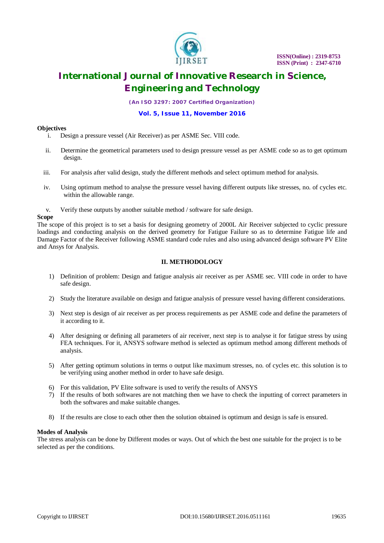

*(An ISO 3297: 2007 Certified Organization)*

#### **Vol. 5, Issue 11, November 2016**

### **Objectives**

- i. Design a pressure vessel (Air Receiver) as per ASME Sec. VIII code.
- ii. Determine the geometrical parameters used to design pressure vessel as per ASME code so as to get optimum design.
- iii. For analysis after valid design, study the different methods and select optimum method for analysis.
- iv. Using optimum method to analyse the pressure vessel having different outputs like stresses, no. of cycles etc. within the allowable range.
- v. Verify these outputs by another suitable method / software for safe design.

### **Scope**

The scope of this project is to set a basis for designing geometry of 2000L Air Receiver subjected to cyclic pressure loadings and conducting analysis on the derived geometry for Fatigue Failure so as to determine Fatigue life and Damage Factor of the Receiver following ASME standard code rules and also using advanced design software PV Elite and Ansys for Analysis.

### **II. METHODOLOGY**

- 1) Definition of problem: Design and fatigue analysis air receiver as per ASME sec. VIII code in order to have safe design.
- 2) Study the literature available on design and fatigue analysis of pressure vessel having different considerations.
- 3) Next step is design of air receiver as per process requirements as per ASME code and define the parameters of it according to it.
- 4) After designing or defining all parameters of air receiver, next step is to analyse it for fatigue stress by using FEA techniques. For it, ANSYS software method is selected as optimum method among different methods of analysis.
- 5) After getting optimum solutions in terms o output like maximum stresses, no. of cycles etc. this solution is to be verifying using another method in order to have safe design.
- 6) For this validation, PV Elite software is used to verify the results of ANSYS
- 7) If the results of both softwares are not matching then we have to check the inputting of correct parameters in both the softwares and make suitable changes.
- 8) If the results are close to each other then the solution obtained is optimum and design is safe is ensured.

### **Modes of Analysis**

The stress analysis can be done by Different modes or ways. Out of which the best one suitable for the project is to be selected as per the conditions.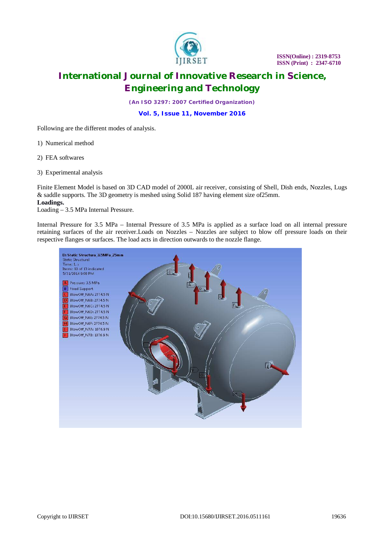

 **ISSN(Online) : 2319-8753 ISSN**(Unline): 2319-8753<br>**ISSN** (Print) : 2347-6710

### **International Journal of Innovative Research in Science, Engineering and Technology**

*(An ISO 3297: 2007 Certified Organization)*

**Vol. 5, Issue 11, November 2016**

Following are the different modes of analysis.

1) Numerical method

2) FEA softwares

3) Experimental analysis

Finite Element Model is based on 3D CAD model of 2000L air receiver, consisting of Shell, Dish ends, Nozzles, Lugs & saddle supports. The 3D geometry is meshed using Solid 187 having element size of25mm. **Loadings.**

Loading – 3.5 MPa Internal Pressure.

Internal Pressure for 3.5 MPa – Internal Pressure of 3.5 MPa is applied as a surface load on all internal pressure retaining surfaces of the air receiver.Loads on Nozzles – Nozzles are subject to blow off pressure loads on their respective flanges or surfaces. The load acts in direction outwards to the nozzle flange.

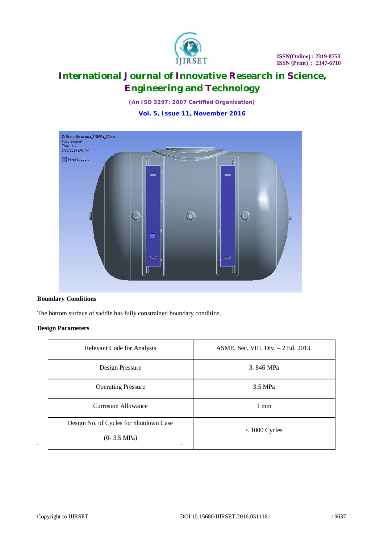

*(An ISO 3297: 2007 Certified Organization)*

**Vol. 5, Issue 11, November 2016**



### **Boundary Conditions**

The bottom surface of saddle has fully constrained boundary condition.

### **Design Parameters**

| Relevant Code for Analysis                                                        | ASME, Sec. VIII, Div. - 2 Ed. 2013. |  |
|-----------------------------------------------------------------------------------|-------------------------------------|--|
| Design Pressure                                                                   | 3.846 MPa                           |  |
| <b>Operating Pressure</b>                                                         | 3.5 MPa                             |  |
| <b>Corrosion Allowance</b>                                                        | $1 \text{ mm}$                      |  |
| Design No. of Cycles for Shutdown Case<br>$(0-3.5 \text{ MPa})$<br>$\blacksquare$ | $< 1000$ Cycles                     |  |

J.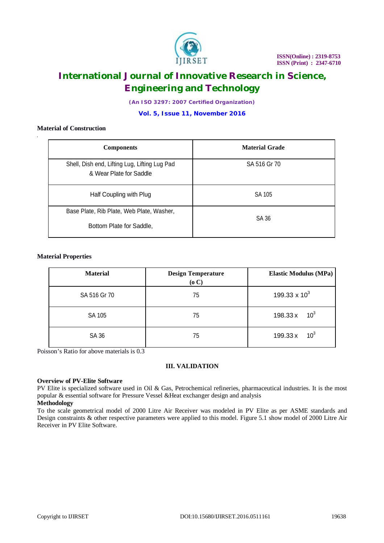

*(An ISO 3297: 2007 Certified Organization)*

**Vol. 5, Issue 11, November 2016**

### **Material of Construction**

| <b>Components</b>                                                        | <b>Material Grade</b> |  |
|--------------------------------------------------------------------------|-----------------------|--|
| Shell, Dish end, Lifting Lug, Lifting Lug Pad<br>& Wear Plate for Saddle | SA 516 Gr 70          |  |
| Half Coupling with Plug                                                  | SA 105                |  |
| Base Plate, Rib Plate, Web Plate, Washer,                                | SA 36                 |  |
| Bottom Plate for Saddle,                                                 |                       |  |

### **Material Properties**

| <b>Material</b> | <b>Design Temperature</b><br>(o C) | <b>Elastic Modulus (MPa)</b> |
|-----------------|------------------------------------|------------------------------|
| SA 516 Gr 70    | 75                                 | 199.33 x $10^3$              |
| SA 105          | 75                                 | 10 <sup>3</sup><br>198.33 x  |
| SA 36           | 75                                 | 10 <sup>3</sup><br>199.33 x  |

Poisson's Ratio for above materials is 0.3

### **III. VALIDATION**

### **Overview of PV-Elite Software**

PV Elite is specialized software used in Oil & Gas, Petrochemical refineries, pharmaceutical industries. It is the most popular & essential software for Pressure Vessel &Heat exchanger design and analysis

### **Methodology**

To the scale geometrical model of 2000 Litre Air Receiver was modeled in PV Elite as per ASME standards and Design constraints & other respective parameters were applied to this model. Figure 5.1 show model of 2000 Litre Air Receiver in PV Elite Software.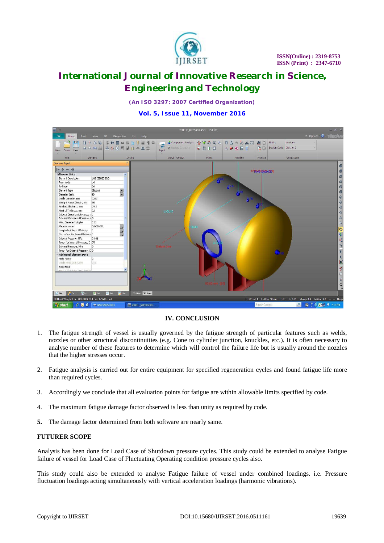

*(An ISO 3297: 2007 Certified Organization)*

**Vol. 5, Issue 11, November 2016**



### **IV. CONCLUSION**

- 1. The fatigue strength of vessel is usually governed by the fatigue strength of particular features such as welds, nozzles or other structural discontinuities (e.g. Cone to cylinder junction, knuckles, etc.). It is often necessary to analyse number of these features to determine which will control the failure life but is usually around the nozzles that the higher stresses occur.
- 2. Fatigue analysis is carried out for entire equipment for specified regeneration cycles and found fatigue life more than required cycles.
- 3. Accordingly we conclude that all evaluation points for fatigue are within allowable limits specified by code.
- 4. The maximum fatigue damage factor observed is less than unity as required by code.
- **5.** The damage factor determined from both software are nearly same.

### **FUTURER SCOPE**

Analysis has been done for Load Case of Shutdown pressure cycles. This study could be extended to analyse Fatigue failure of vessel for Load Case of Fluctuating Operating condition pressure cycles also.

This study could also be extended to analyse Fatigue failure of vessel under combined loadings. i.e. Pressure fluctuation loadings acting simultaneously with vertical acceleration loadings (harmonic vibrations).